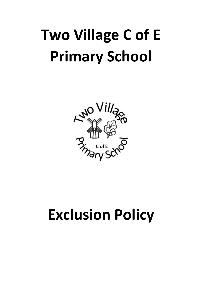

## **Exclusion Policy**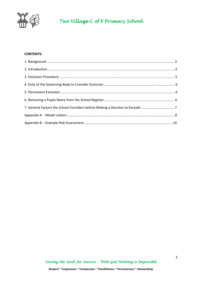

#### **CONTENTS:**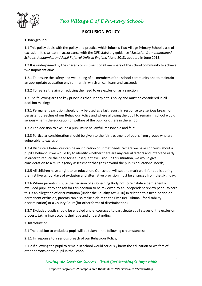

#### **EXCLUSION POLICY**

#### **1. Background**

1.1 This policy deals with the policy and practice which informs Two Village Primary School's use of exclusion. It is written in accordance with the DFE statutory guidance "*Exclusion from maintained Schools, Academies and Pupil Referral Units in England"* June 2013, updated in June 2015.

1.2 It is underpinned by the shared commitment of all members of the school community to achieve two important aims:

1.2.1 To ensure the safety and well-being of all members of the school community and to maintain an appropriate education environment in which all can learn and succeed;

1.2.2 To realise the aim of reducing the need to use exclusion as a sanction.

1.3 The following are the key principles that underpin this policy and must be considered in all decision making:

1.3.1 Permanent exclusion should only be used as a last resort, in response to a serious breach or persistent breaches of our Behaviour Policy and where allowing the pupil to remain in school would seriously harm the education or welfare of the pupil or others in the school;

1.3.2 The decision to exclude a pupil must be lawful, reasonable and fair;

1.3.3 Particular consideration should be given to the fair treatment of pupils from groups who are vulnerable to exclusion;

1.3.4 Disruptive behaviour can be an indication of unmet needs. Where we have concerns about a pupil's behaviour we would try to identify whether there are any casual factors and intervene early in order to reduce the need for a subsequent exclusion. In this situation, we would give consideration to a multi-agency assessment that goes beyond the pupil's educational needs;

1.3.5 All children have a right to an education. Our school will set and mark work for pupils during the first five school days of exclusion and alternative provision must be arranged from the sixth day.

1.3.6 Where parents dispute the decision of a Governing Body not to reinstate a permanently excluded pupil, they can ask for this decision to be reviewed by an independent review panel. Where this is an allegation of discrimination (under the Equality Act 2010) in relation to a fixed-period or permanent exclusion, parents can also make a claim to the First-tier Tribunal (for disability discrimination) or a County Court (for other forms of discrimination)

1.3.7 Excluded pupils should be enabled and encouraged to participate at all stages of the exclusion process, taking into account their age and understanding.

#### **2. Introduction**

2.1 The decision to exclude a pupil will be taken in the following circumstances:

2.1.1 In response to a serious breach of our Behaviour Policy;

2.1.2 If allowing the pupil to remain in school would seriously harm the education or welfare of other persons or the pupil in the School.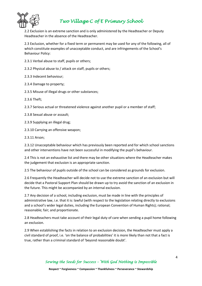

2.2 Exclusion is an extreme sanction and is only administered by the Headteacher or Deputy Headteacher in the absence of the Headteacher.

2.3 Exclusion, whether for a fixed term or permanent may be used for any of the following, all of which constitute examples of unacceptable conduct, and are infringements of the School's Behaviour Policy:

2.3.1 Verbal abuse to staff, pupils or others;

2.3.2 Physical abuse to / attack on staff, pupils or others;

2.3.3 Indecent behaviour;

2.3.4 Damage to property;

2.3.5 Misuse of illegal drugs or other substances;

2.3.6 Theft;

2.3.7 Serious actual or threatened violence against another pupil or a member of staff;

2.3.8 Sexual abuse or assault;

2.3.9 Supplying an illegal drug;

2.3.10 Carrying an offensive weapon;

2.3.11 Arson;

2.3.12 Unacceptable behaviour which has previously been reported and for which school sanctions and other interventions have not been successful in modifying the pupil's behaviour.

2.4 This is not an exhaustive list and there may be other situations where the Headteacher makes the judgement that exclusion is an appropriate sanction.

2.5 The behaviour of pupils outside of the school can be considered as grounds for exclusion.

2.6 Frequently the Headteacher will decide not to use the extreme sanction of an exclusion but will decide that a Pastoral Support Plan should be drawn up to try avoid the sanction of an exclusion in the future. This might be accompanied by an internal exclusion.

2.7 Any decision of a school, including exclusion, must be made in line with the principles of administrative law, i.e. that it is: lawful (with respect to the legislation relating directly to exclusions and a school's wider legal duties, including the European Convention of Human Rights); rational; reasonable; fair; and proportionate.

2.8 Headteachers must take account of their legal duty of care when sending a pupil home following an exclusion.

2.9 When establishing the facts in relation to an exclusion decision, the Headteacher must apply a civil standard of proof, i.e. 'on the balance of probabilities' it is more likely than not that a fact is true, rather than a criminal standard of 'beyond reasonable doubt'.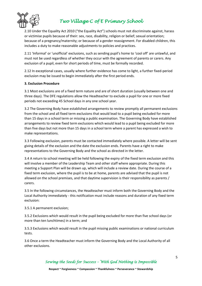

2.10 Under the Equality Act 2010 ("the Equality Act") schools must not discriminate against, harass or victimise pupils because of their: sex, race, disability, religion or belief; sexual orientation; because of a pregnancy/maternity; or because of a gender reassignment. For disabled children, this includes a duty to make reasonable adjustments to policies and practices.

2.11 'Informal' or 'unofficial' exclusions, such as sending pupil's home to 'cool off' are unlawful, and must not be used regardless of whether they occur with the agreement of parents or carers. Any exclusion of a pupil, even for short periods of time, must be formally recorded.

2.12 In exceptional cases, usually where further evidence has come to light, a further fixed-period exclusion may be issued to begin immediately after the first period ends.

#### **3. Exclusion Procedure**

3.1 Most exclusions are of a fixed term nature and are of short duration (usually between one and three days). The DFE regulations allow the Headteacher to exclude a pupil for one or more fixed periods not exceeding 45 School days in any one school year.

3.2 The Governing Body have established arrangements to review promptly all permanent exclusions from the school and all fixed term exclusions that would lead to a pupil being excluded for more than 15 days in a school term or missing a public examination. The Governing Body have established arrangements to review fixed term exclusions which would lead to a pupil being excluded for more than five days but not more than 15 days in a school term where a parent has expressed a wish to make representations.

3.3 Following exclusion, parents must be contacted immediately where possible. A letter will be sent giving details of the exclusion and the date the exclusion ends. Parents have a right to make representations to the Governing Body and the school as directed in the letter.

3.4 A return to school meeting will be held following the expiry of the fixed term exclusion and this will involve a member of the Leadership Team and other staff where appropriate. During this meeting a Support Plan will be drawn up, which will include a review date. During the course of a fixed term exclusion, where the pupil is to be at home, parents are advised that the pupil is not allowed on the school premises, and that daytime supervision is their responsibility as parents / carers.

3.5 In the following circumstances, the Headteacher must inform both the Governing Body and the Local Authority immediately - this notification must include reasons and duration of any fixed term exclusion:

3.5.1 A permanent exclusion;

3.5.2 Exclusions which would result in the pupil being excluded for more than five school days (or more than ten lunchtimes) in a term; and

3.5.3 Exclusions which would result in the pupil missing public examinations or national curriculum tests.

3.6 Once a term the Headteacher must inform the Governing Body and the Local Authority of all other exclusions.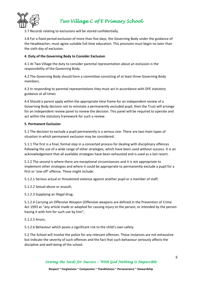

3.7 Records relating to exclusions will be stored confidentially.

3.8 For a fixed period exclusion of more than five days, the Governing Body under the guidance of the Headteacher, must agree suitable full-time education. This provision must begin no later than the sixth day of exclusion.

#### **4. Duty of the Governing Body to Consider Exclusion**

4.1 At Two Village the duty to consider parental representation about an exclusion is the responsibility of the Governing Body.

4.2 The Governing Body should form a committee consisting of at least three Governing Body members.

4.3 In responding to parental representations they must act in accordance with DFE statutory guidance at all times

4.4 Should a parent apply within the appropriate time frame for an independent review of a Governing Body decision not to reinstate a permanently excluded pupil, then the Trust will arrange for an independent review panel to review the decision. This panel will be required to operate and act within the statutory framework for such a review.

#### **5. Permanent Exclusion**

5.1 The decision to exclude a pupil permanently is a serious one. There are two main types of situation in which permanent exclusion may be considered:

5.1.1 The first is a final, formal step in a concerted process for dealing with disciplinary offences following the use of a wide range of other strategies, which have been used without success. It is an acknowledgement that all available strategies have been exhausted and is used as a last resort.

5.1.2 The second is where there are exceptional circumstances and it is not appropriate to implement other strategies and where it could be appropriate to permanently exclude a pupil for a first or 'one-off' offence. These might include:

5.1.2.1 Serious actual or threatened violence against another pupil or a member of staff;

5.1.2.2 Sexual abuse or assault;

5.1.2.3 Supplying an illegal drug;

5.1.2.4 Carrying an Offensive Weapon (Offensive weapons are defined in the Prevention of Crime Act 1993 as "any article made or adapted for causing injury to the person; or intended by the person having it with him for such use by him";

5.1.2.5 Arson;

5.1.2.6 Behaviour which poses a significant risk to the child's own safety.

5.2 The School will involve the police for any relevant offences. These instances are not exhaustive but indicate the severity of such offences and the fact that such behaviour seriously affects the discipline and well-being of the school.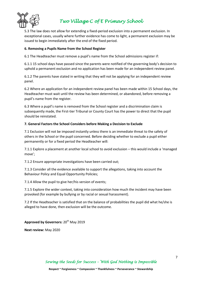

5.3 The law does not allow for extending a fixed-period exclusion into a permanent exclusion. In exceptional cases, usually where further evidence has come to light, a permanent exclusion may be issued to begin immediately after the end of the fixed period.

#### **6. Removing a Pupils Name from the School Register**

6.1 The Headteacher must remove a pupil's name from the School admissions register if:

6.1.1 15 school days have passed since the parents were notified of the governing body's decision to uphold a permanent exclusion and no application has been made for an independent review panel.

6.1.2 The parents have stated in writing that they will not be applying for an independent review panel.

6.2 Where an application for an independent review panel has been made within 15 School days, the Headteacher must wait until the review has been determined, or abandoned, before removing a pupil's name from the register.

6.3 Where a pupil's name is removed from the School register and a discrimination claim is subsequently made, the First-tier Tribunal or County Court has the power to direct that the pupil should be reinstated.

#### **7. General Factors the School Considers before Making a Decision to Exclude**

7.1 Exclusion will not be imposed instantly unless there is an immediate threat to the safety of others in the School or the pupil concerned. Before deciding whether to exclude a pupil either permanently or for a fixed period the Headteacher will:

7.1.1 Explore a placement at another local school to avoid exclusion – this would include a 'managed move';

7.1.2 Ensure appropriate investigations have been carried out;

7.1.3 Consider all the evidence available to support the allegations, taking into account the Behaviour Policy and Equal Opportunity Policies;

7.1.4 Allow the pupil to give her/his version of events;

7.1.5 Explore the wider context, taking into consideration how much the incident may have been provoked (for example by bullying or by racial or sexual harassment).

7.2 If the Headteacher is satisfied that on the balance of probabilities the pupil did what he/she is alleged to have done, then exclusion will be the outcome.

**Approved by Governors:** 20th May 2019

**Next review:** May 2020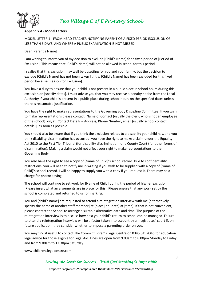

#### **Appendix A - Model Letters**

MODEL LETTER 1 - FROM HEAD TEACHER NOTIFYING PARENT OF A FIXED PERIOD EXCLUSION OF LESS THAN 6 DAYS, AND WHERE A PUBLIC EXAMINATION IS NOT MISSED

#### Dear [Parent's Name]

I am writing to inform you of my decision to exclude [Child's Name] for a fixed period of [Period of Exclusion]. This means that [Child's Name] will not be allowed in school for this period.

I realise that this exclusion may well be upsetting for you and your family, but the decision to exclude [Child's Name] has not been taken lightly. [Child's Name] has been excluded for this fixed period because [Reason for Exclusion].

You have a duty to ensure that your child is not present in a public place in school hours during this exclusion on [specify dates]. I must advise you that you may receive a penalty notice from the Local Authority if your child is present in a public place during school hours on the specified dates unless there is reasonable justification.

You have the right to make representations to the Governing Body Discipline Committee. If you wish to make representations please contact [Name of Contact (usually the Clerk, who is not an employee of the school)] on/at [Contact Details – Address, Phone Number, email (usually school contact details)], as soon as possible.

You should also be aware that if you think the exclusion relates to a disability your child has, and you think disability discrimination has occurred, you have the right to make a claim under the Equality Act 2010 to the First Tier Tribunal (for disability discrimination) or a County Court (for other forms of discrimination). Making a claim would not affect your right to make representations to the Governing Body.

You also have the right to see a copy of [Name of Child]'s school record. Due to confidentiality restrictions, you will need to notify me in writing if you wish to be supplied with a copy of [Name of Child]'s school record. I will be happy to supply you with a copy if you request it. There may be a charge for photocopying.

The school will continue to set work for [Name of Child] during the period of his/her exclusion [Please insert what arrangements are in place for this]. Please ensure that any work set by the school is completed and returned to us for marking.

You and [child's name] are requested to attend a reintegration interview with me [alternatively, specify the name of another staff member] at [place] on [date] at [time]. If that is not convenient, please contact the School to arrange a suitable alternative date and time. The purpose of the reintegration interview is to discuss how best your child's return to school can be managed. Failure to attend a reintegration interview will be a factor taken into account by a magistrates' court if, on future application, they consider whether to impose a parenting order on you.

You may find it useful to contact The Coram Children's Legal Centre on 0345 345 4345 for education legal advice for those eligible for Legal Aid. Lines are open from 9.00am to 8.00pm Monday to Friday and from 9.00am to 12.30pm Saturday.

www.childrenslegalcentre.com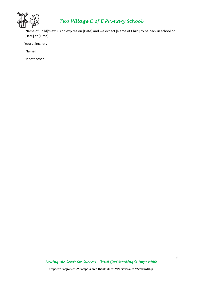

[Name of Child]'s exclusion expires on [Date] and we expect [Name of Child] to be back in school on [Date] at [Time].

Yours sincerely

[Name]

Headteacher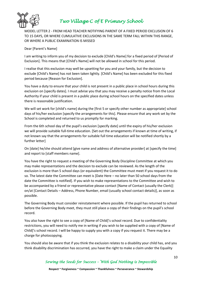

MODEL LETTER 2 - FROM HEAD TEACHER NOTIFYING PARENT OF A FIXED PERIOD EXCLUSION OF 6 TO 15 DAYS, OR WHERE CUMULATIVE EXCLUSIONS IN THE SAME TERM FALL WITHIN THIS RANGE, OR WHERE A PUBLIC EXAMINATION IS MISSED

#### Dear [Parent's Name]

I am writing to inform you of my decision to exclude [Child's Name] for a fixed period of [Period of Exclusion]. This means that [Child's Name] will not be allowed in school for this period.

I realise that this exclusion may well be upsetting for you and your family, but the decision to exclude [Child's Name] has not been taken lightly. [Child's Name] has been excluded for this fixed period because [Reason for Exclusion].

You have a duty to ensure that your child is not present in a public place in school hours during this exclusion on [specify dates]. I must advise you that you may receive a penalty notice from the Local Authority if your child is present in a public place during school hours on the specified dates unless there is reasonable justification.

We will set work for [child's name] during the [first 5 or specify other number as appropriate] school days of his/her exclusion [specify the arrangements for this]. Please ensure that any work set by the School is completed and returned to us promptly for marking.

From the 6th school day of the pupil's exclusion [specify date] until the expiry of his/her exclusion we will provide suitable full-time education. [Set out the arrangements if known at time of writing, if not known say that the arrangements for suitable full time education will be notified shortly by a further letter]

On [date] he/she should attend [give name and address of alternative provider] at [specify the time] and report to [staff members name].

You have the right to request a meeting of the Governing Body Discipline Committee at which you may make representations and the decision to exclude can be reviewed. As the length of the exclusion is more than 5 school days (or equivalent) the Committee must meet if you request it to do so. The latest date the Committee can meet is [Date Here – no later than 50 school days from the date the Committee is notified]. If you wish to make representations to the Committee and wish to be accompanied by a friend or representative please contact [Name of Contact (usually the Clerk)] on/at [Contact Details – Address, Phone Number, email (usually school contact details)], as soon as possible.

The Governing Body must consider reinstatement where possible. If the pupil has returned to school before the Governing Body meet, they must still place a copy of their findings on the pupil's school record.

You also have the right to see a copy of [Name of Child]'s school record. Due to confidentiality restrictions, you will need to notify me in writing if you wish to be supplied with a copy of [Name of Child]'s school record. I will be happy to supply you with a copy if you request it. There may be a charge for photocopying.

You should also be aware that if you think the exclusion relates to a disability your child has, and you think disability discrimination has occurred, you have the right to make a claim under the Equality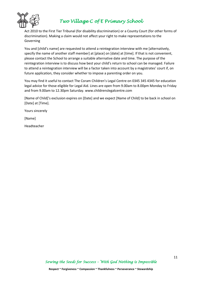

Act 2010 to the First Tier Tribunal (for disability discrimination) or a County Court (for other forms of discrimination). Making a claim would not affect your right to make representations to the Governing

You and [child's name] are requested to attend a reintegration interview with me [alternatively, specify the name of another staff member] at [place] on [date] at [time]. If that is not convenient, please contact the School to arrange a suitable alternative date and time. The purpose of the reintegration interview is to discuss how best your child's return to school can be managed. Failure to attend a reintegration interview will be a factor taken into account by a magistrates' court if, on future application, they consider whether to impose a parenting order on you.

You may find it useful to contact The Coram Children's Legal Centre on 0345 345 4345 for education legal advice for those eligible for Legal Aid. Lines are open from 9.00am to 8.00pm Monday to Friday and from 9.00am to 12.30pm Saturday. www.childrenslegalcentre.com

[Name of Child]'s exclusion expires on [Date] and we expect [Name of Child] to be back in school on [Date] at [Time].

Yours sincerely

[Name]

Headteacher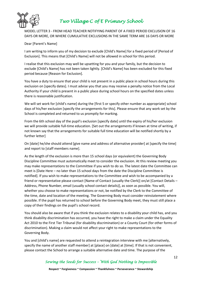

MODEL LETTER 3 - FROM HEAD TEACHER NOTIFYING PARENT OF A FIXED PERIOD EXCLUSION OF 16 DAYS OR MORE, OR WHERE CUMULATIVE EXCLUSIONS IN THE SAME TERM ARE 16 DAYS OR MORE

#### Dear [Parent's Name]

I am writing to inform you of my decision to exclude [Child's Name] for a fixed period of [Period of Exclusion]. This means that [Child's Name] will not be allowed in school for this period.

I realise that this exclusion may well be upsetting for you and your family, but the decision to exclude [Child's Name] has not been taken lightly. [Child's Name] has been excluded for this fixed period because [Reason for Exclusion].

You have a duty to ensure that your child is not present in a public place in school hours during this exclusion on [specify dates]. I must advise you that you may receive a penalty notice from the Local Authority if your child is present in a public place during school hours on the specified dates unless there is reasonable justification.

We will set work for [child's name] during the [first 5 or specify other number as appropriate] school days of his/her exclusion [specify the arrangements for this]. Please ensure that any work set by the School is completed and returned to us promptly for marking.

From the 6th school day of the pupil's exclusion [specify date] until the expiry of his/her exclusion we will provide suitable full-time education. [Set out the arrangements if known at time of writing, if not known say that the arrangements for suitable full time education will be notified shortly by a further letter]

On [date] he/she should attend [give name and address of alternative provider] at [specify the time] and report to [staff members name].

As the length of the exclusion is more than 15 school days (or equivalent) the Governing Body Discipline Committee must automatically meet to consider the exclusion. At this review meeting you may make representations to the Committee if you wish to do so. The latest date the Committee can meet is [Date Here – no later than 15 school days from the date the Discipline Committee is notified]. If you wish to make representations to the Committee and wish to be accompanied by a friend or representative please contact [Name of Contact (usually the Clerk)] on/at [Contact Details – Address, Phone Number, email (usually school contact details)], as soon as possible. You will, whether you choose to make representations or not, be notified by the Clerk to the Committee of the time, date and location of the meeting. The Governing Body must consider reinstatement where possible. If the pupil has returned to school before the Governing Body meet, they must still place a copy of their findings on the pupil's school record.

You should also be aware that if you think the exclusion relates to a disability your child has, and you think disability discrimination has occurred, you have the right to make a claim under the Equality Act 2010 to the First Tier Tribunal (for disability discrimination) or a County Court (for other forms of discrimination). Making a claim would not affect your right to make representations to the Governing Body.

You and [child's name] are requested to attend a reintegration interview with me [alternatively, specify the name of another staff member] at [place] on [date] at [time]. If that is not convenient, please contact the School to arrange a suitable alternative date and time. The purpose of the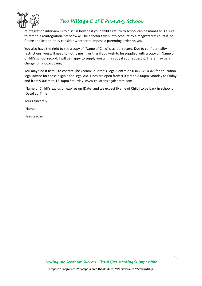

reintegration interview is to discuss how best your child's return to school can be managed. Failure to attend a reintegration interview will be a factor taken into account by a magistrates' court if, on future application, they consider whether to impose a parenting order on you.

You also have the right to see a copy of [Name of Child]'s school record. Due to confidentiality restrictions, you will need to notify me in writing if you wish to be supplied with a copy of [Name of Child]'s school record. I will be happy to supply you with a copy if you request it. There may be a charge for photocopying.

You may find it useful to contact The Coram Children's Legal Centre on 0345 345 4345 for education legal advice for those eligible for Legal Aid. Lines are open from 9.00am to 8.00pm Monday to Friday and from 9.00am to 12.30pm Saturday. www.childrenslegalcentre.com

[Name of Child]'s exclusion expires on [Date] and we expect [Name of Child] to be back in school on [Date] at [Time].

Yours sincerely

[Name]

Headteacher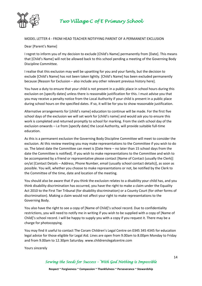

#### MODEL LETTER 4 - FROM HEAD TEACHER NOTIFYING PARENT OF A PERMANENT EXCLUSION

#### Dear [Parent's Name]

I regret to inform you of my decision to exclude [Child's Name] permanently from [Date]. This means that [Child's Name] will not be allowed back to this school pending a meeting of the Governing Body Discipline Committee.

I realise that this exclusion may well be upsetting for you and your family, but the decision to exclude [Child's Name] has not been taken lightly. [Child's Name] has been excluded permanently because [Reason for Exclusion – also include any other relevant previous history here].

You have a duty to ensure that your child is not present in a public place in school hours during this exclusion on [specify dates] unless there is reasonable justification for this. I must advise you that you may receive a penalty notice from the Local Authority if your child is present in a public place during school hours on the specified dates. If so, it will be for you to show reasonable justification.

Alternative arrangements for [child's name] education to continue will be made. For the first five school days of the exclusion we will set work for [child's name] and would ask you to ensure this work is completed and returned promptly to school for marking. From the sixth school day of the exclusion onwards – i.e from [specify date] the Local Authority, will provide suitable full-time education.

As this is a permanent exclusion the Governing Body Discipline Committee will meet to consider the exclusion. At this review meeting you may make representations to the Committee if you wish to do so. The latest date the Committee can meet is [Date Here – no later than 15 school days from the date the Committee is notified]. If you wish to make representations to the Committee and wish to be accompanied by a friend or representative please contact [Name of Contact (usually the Clerk)] on/at [Contact Details – Address, Phone Number, email (usually school contact details)], as soon as possible. You will, whether you choose to make representations or not, be notified by the Clerk to the Committee of the time, date and location of the meeting.

You should also be aware that if you think the exclusion relates to a disability your child has, and you think disability discrimination has occurred, you have the right to make a claim under the Equality Act 2010 to the First Tier Tribunal (for disability discrimination) or a County Court (for other forms of discrimination). Making a claim would not affect your right to make representations to the Governing Body.

You also have the right to see a copy of [Name of Child]'s school record. Due to confidentiality restrictions, you will need to notify me in writing if you wish to be supplied with a copy of [Name of Child]'s school record. I will be happy to supply you with a copy if you request it. There may be a charge for photocopying.

You may find it useful to contact The Coram Children's Legal Centre on 0345 345 4345 for education legal advice for those eligible for Legal Aid. Lines are open from 9.00am to 8.00pm Monday to Friday and from 9.00am to 12.30pm Saturday. www.childrenslegalcentre.com

Yours sincerely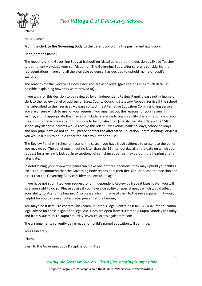

Headteacher

#### **From the clerk to the Governing Body to the parent upholding the permanent exclusion.**

Dear [parent's name]

The meeting of the Governing Body at [school] on [date] considered the decision by [Head Teacher] to permanently exclude your son/daughter. The Governing Body, after carefully considering the representations made and all the available evidence, has decided to uphold [name of pupil's] exclusion.

The reasons for the Governing Body's decision are as follows: [give reasons in as much detail as possible, explaining how they were arrived at]

If you wish for this decision to be reviewed by an Independent Review Panel, please notify [name of clerk to the review panel or address of Essex County Council's Statutory Appeals Service if the school has subscribed to their services – please contact the Alternative Education Commissioning Service if you are unsure which to use] of your request. You must set out the reasons for your review in writing, and, if appropriate this may also include reference to any disability discrimination claim you may wish to make. Please send this notice to by no later than [specify the latest date – the 15th school day after the parents would receive this letter – weekends, bank holidays, school holidays and non-pupil days do not count – please contact the Alternative Education Commissioning Service if you would like us to double check the date you intend to use].

The Review Panel will rehear all facts of the case. If you have fresh evidence to present to the panel you may do so. The panel must meet no later than the 15th school day after the date on which your request for a review is lodged. In exceptional circumstances panels may adjourn the hearing until a later date.

In determining your review the panel can make one of three decisions: they may uphold your child's exclusion, recommend that the Governing Body reconsiders their decision, or quash the decision and direct that the Governing Body considers the exclusion again.

If you have not submitted your request for an Independent Review by [repeat latest date], you will lose your right to do so. Please advise if you have a disability or special needs which would affect your ability to attend the hearing. Also please inform [name of clerk to the review panel] if it would helpful for you to have an interpreter present at the hearing.

You may find it useful to contact The Coram Children's Legal Centre on 0345 345 4345 for education legal advice for those eligible for Legal Aid. Lines are open from 9.00am to 8.00pm Monday to Friday and from 9.00am to 12.30pm Saturday. www.childrenslegalcentre.com

The arrangements currently being made for [child's name] education will continue.

Yours sincerely

[Name]

Clerk to the Governing Body Discipline Committee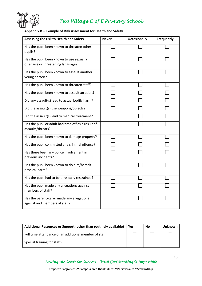

#### **Appendix B – Example of Risk Assessment for Health and Safety**

| Assessing the risk to Health and Safety                                        | <b>Never</b> | <b>Occasionally</b> | Frequently |
|--------------------------------------------------------------------------------|--------------|---------------------|------------|
| Has the pupil been known to threaten other<br>pupils?                          |              |                     |            |
| Has the pupil been known to use sexually<br>offensive or threatening language? |              |                     |            |
| Has the pupil been known to assault another<br>young person?                   |              |                     |            |
| Has the pupil been known to threaten staff?                                    |              |                     |            |
| Has the pupil been known to assault an adult?                                  |              |                     |            |
| Did any assault(s) lead to actual bodily harm?                                 |              |                     |            |
| Did the assault(s) use weapons/objects?                                        |              |                     |            |
| Did the assault(s) lead to medical treatment?                                  |              |                     |            |
| Has the pupil or adult had time off as a result of<br>assaults/threats?        |              |                     |            |
| Has the pupil been known to damage property?                                   |              |                     |            |
| Has the pupil committed any criminal offence?                                  |              |                     |            |
| Has there been any police involvement in<br>previous incidents?                |              |                     |            |
| Has the pupil been known to do him/herself<br>physical harm?                   |              |                     |            |
| Has the pupil had to be physically restrained?                                 |              |                     |            |
| Has the pupil made any allegations against<br>members of staff?                |              |                     |            |
| Has the parent/carer made any allegations<br>against and members of staff?     |              |                     |            |

| Additional Resources or Support (other than routinely available) | <b>Yes</b> | <b>No</b> | Unknown |
|------------------------------------------------------------------|------------|-----------|---------|
| Full time attendance of an additional member of staff            |            |           |         |
| Special training for staff?                                      |            |           |         |